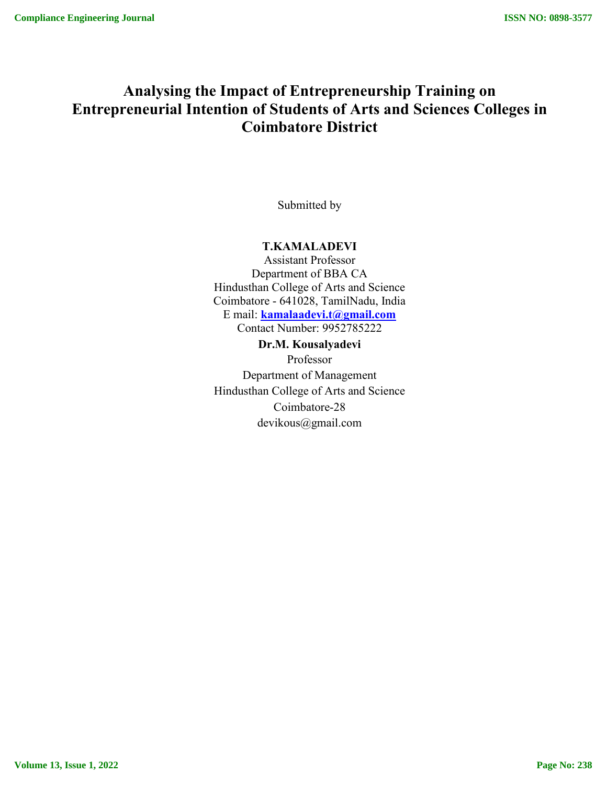# **Analysing the Impact of Entrepreneurship Training on Entrepreneurial Intention of Students of Arts and Sciences Colleges in Coimbatore District**

Submitted by

## **T.KAMALADEVI**

Assistant Professor Department of BBA CA Hindusthan College of Arts and Science Coimbatore - 641028, TamilNadu, India E mail: **kamalaadevi.t@gmail.com** Contact Number: 9952785222

**Dr.M. Kousalyadevi** Professor Department of Management Hindusthan College of Arts and Science Coimbatore-28 devikous@gmail.com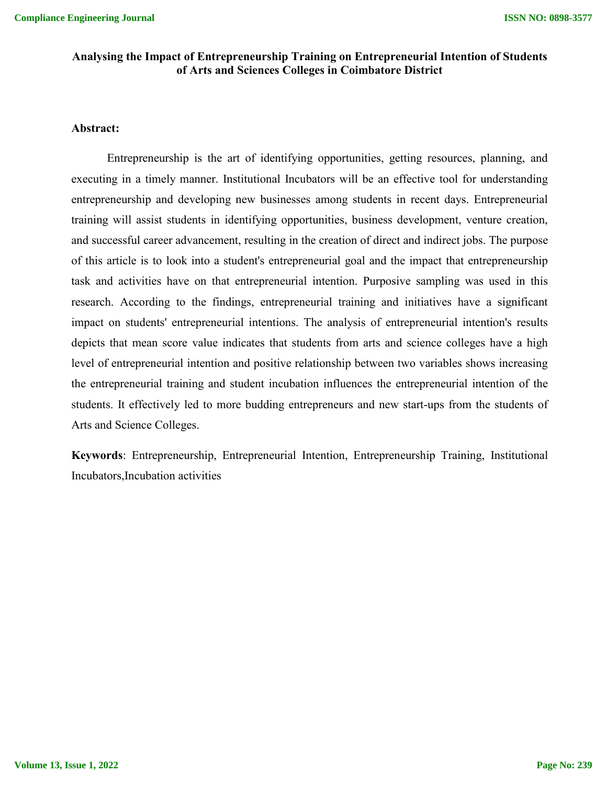### **Analysing the Impact of Entrepreneurship Training on Entrepreneurial Intention of Students of Arts and Sciences Colleges in Coimbatore District**

#### **Abstract:**

Entrepreneurship is the art of identifying opportunities, getting resources, planning, and executing in a timely manner. Institutional Incubators will be an effective tool for understanding entrepreneurship and developing new businesses among students in recent days. Entrepreneurial training will assist students in identifying opportunities, business development, venture creation, and successful career advancement, resulting in the creation of direct and indirect jobs. The purpose of this article is to look into a student's entrepreneurial goal and the impact that entrepreneurship task and activities have on that entrepreneurial intention. Purposive sampling was used in this research. According to the findings, entrepreneurial training and initiatives have a significant impact on students' entrepreneurial intentions. The analysis of entrepreneurial intention's results depicts that mean score value indicates that students from arts and science colleges have a high level of entrepreneurial intention and positive relationship between two variables shows increasing the entrepreneurial training and student incubation influences the entrepreneurial intention of the students. It effectively led to more budding entrepreneurs and new start-ups from the students of Arts and Science Colleges.

**Keywords**: Entrepreneurship, Entrepreneurial Intention, Entrepreneurship Training, Institutional Incubators,Incubation activities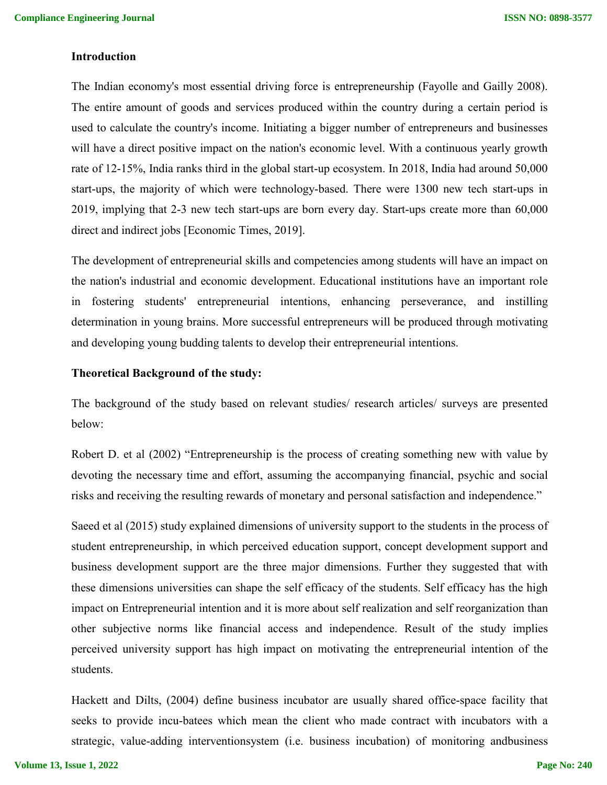#### **Introduction**

The Indian economy's most essential driving force is entrepreneurship (Fayolle and Gailly 2008). The entire amount of goods and services produced within the country during a certain period is used to calculate the country's income. Initiating a bigger number of entrepreneurs and businesses will have a direct positive impact on the nation's economic level. With a continuous yearly growth rate of 12-15%, India ranks third in the global start-up ecosystem. In 2018, India had around 50,000 start-ups, the majority of which were technology-based. There were 1300 new tech start-ups in 2019, implying that 2-3 new tech start-ups are born every day. Start-ups create more than 60,000 direct and indirect jobs [Economic Times, 2019].

The development of entrepreneurial skills and competencies among students will have an impact on the nation's industrial and economic development. Educational institutions have an important role in fostering students' entrepreneurial intentions, enhancing perseverance, and instilling determination in young brains. More successful entrepreneurs will be produced through motivating and developing young budding talents to develop their entrepreneurial intentions.

#### **Theoretical Background of the study:**

The background of the study based on relevant studies/ research articles/ surveys are presented below:

Robert D. et al (2002) "Entrepreneurship is the process of creating something new with value by devoting the necessary time and effort, assuming the accompanying financial, psychic and social risks and receiving the resulting rewards of monetary and personal satisfaction and independence."

Saeed et al (2015) study explained dimensions of university support to the students in the process of student entrepreneurship, in which perceived education support, concept development support and business development support are the three major dimensions. Further they suggested that with these dimensions universities can shape the self efficacy of the students. Self efficacy has the high impact on Entrepreneurial intention and it is more about self realization and self reorganization than other subjective norms like financial access and independence. Result of the study implies perceived university support has high impact on motivating the entrepreneurial intention of the students.

Hackett and Dilts, (2004) define business incubator are usually shared office-space facility that seeks to provide incu-batees which mean the client who made contract with incubators with a strategic, value-adding interventionsystem (i.e. business incubation) of monitoring andbusiness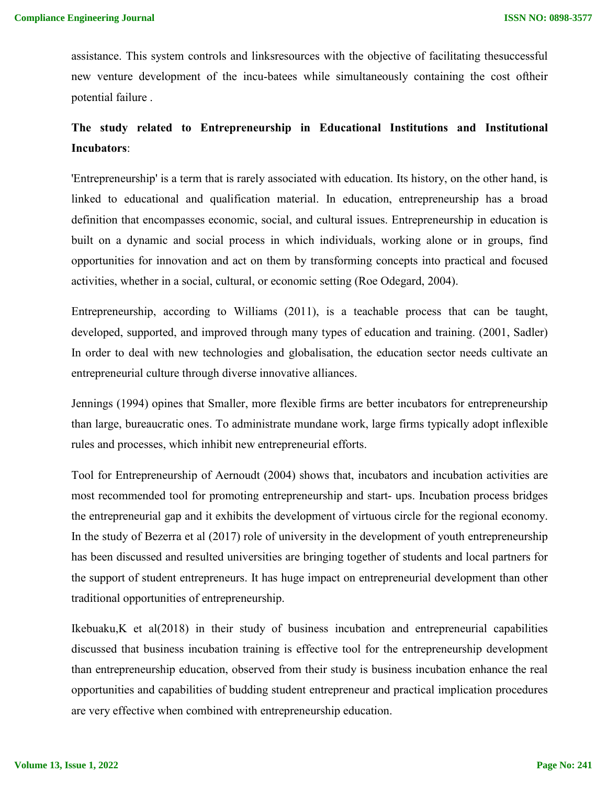assistance. This system controls and linksresources with the objective of facilitating thesuccessful new venture development of the incu-batees while simultaneously containing the cost oftheir potential failure .

## **The study related to Entrepreneurship in Educational Institutions and Institutional Incubators**:

'Entrepreneurship' is a term that is rarely associated with education. Its history, on the other hand, is linked to educational and qualification material. In education, entrepreneurship has a broad definition that encompasses economic, social, and cultural issues. Entrepreneurship in education is built on a dynamic and social process in which individuals, working alone or in groups, find opportunities for innovation and act on them by transforming concepts into practical and focused activities, whether in a social, cultural, or economic setting (Roe Odegard, 2004).

Entrepreneurship, according to Williams (2011), is a teachable process that can be taught, developed, supported, and improved through many types of education and training. (2001, Sadler) In order to deal with new technologies and globalisation, the education sector needs cultivate an entrepreneurial culture through diverse innovative alliances.

Jennings (1994) opines that Smaller, more flexible firms are better incubators for entrepreneurship than large, bureaucratic ones. To administrate mundane work, large firms typically adopt inflexible rules and processes, which inhibit new entrepreneurial efforts.

Tool for Entrepreneurship of Aernoudt (2004) shows that, incubators and incubation activities are most recommended tool for promoting entrepreneurship and start- ups. Incubation process bridges the entrepreneurial gap and it exhibits the development of virtuous circle for the regional economy. In the study of Bezerra et al (2017) role of university in the development of youth entrepreneurship has been discussed and resulted universities are bringing together of students and local partners for the support of student entrepreneurs. It has huge impact on entrepreneurial development than other traditional opportunities of entrepreneurship.

Ikebuaku,K et al(2018) in their study of business incubation and entrepreneurial capabilities discussed that business incubation training is effective tool for the entrepreneurship development than entrepreneurship education, observed from their study is business incubation enhance the real opportunities and capabilities of budding student entrepreneur and practical implication procedures are very effective when combined with entrepreneurship education.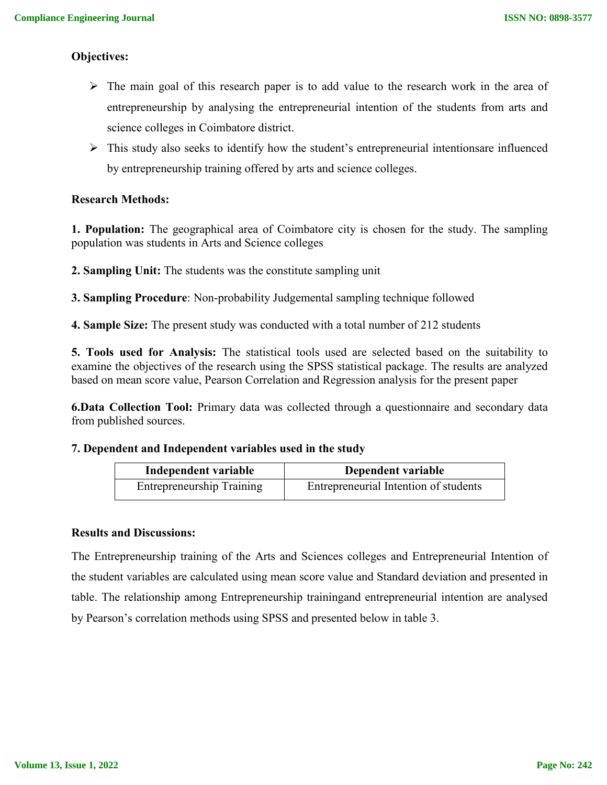## **Objectives:**

- $\triangleright$  The main goal of this research paper is to add value to the research work in the area of entrepreneurship by analysing the entrepreneurial intention of the students from arts and science colleges in Coimbatore district.
- $\triangleright$  This study also seeks to identify how the student's entrepreneurial intentionsare influenced by entrepreneurship training offered by arts and science colleges.

### **Research Methods:**

**1. Population:** The geographical area of Coimbatore city is chosen for the study. The sampling population was students in Arts and Science colleges

**2. Sampling Unit:** The students was the constitute sampling unit

**3. Sampling Procedure**: Non-probability Judgemental sampling technique followed

**4. Sample Size:** The present study was conducted with a total number of 212 students

**5. Tools used for Analysis:** The statistical tools used are selected based on the suitability to examine the objectives of the research using the SPSS statistical package. The results are analyzed based on mean score value, Pearson Correlation and Regression analysis for the present paper

**6.Data Collection Tool:** Primary data was collected through a questionnaire and secondary data from published sources.

#### **7. Dependent and Independent variables used in the study**

| Independent variable      | Dependent variable                    |  |  |  |
|---------------------------|---------------------------------------|--|--|--|
| Entrepreneurship Training | Entrepreneurial Intention of students |  |  |  |

#### **Results and Discussions:**

The Entrepreneurship training of the Arts and Sciences colleges and Entrepreneurial Intention of the student variables are calculated using mean score value and Standard deviation and presented in table. The relationship among Entrepreneurship trainingand entrepreneurial intention are analysed by Pearson's correlation methods using SPSS and presented below in table 3.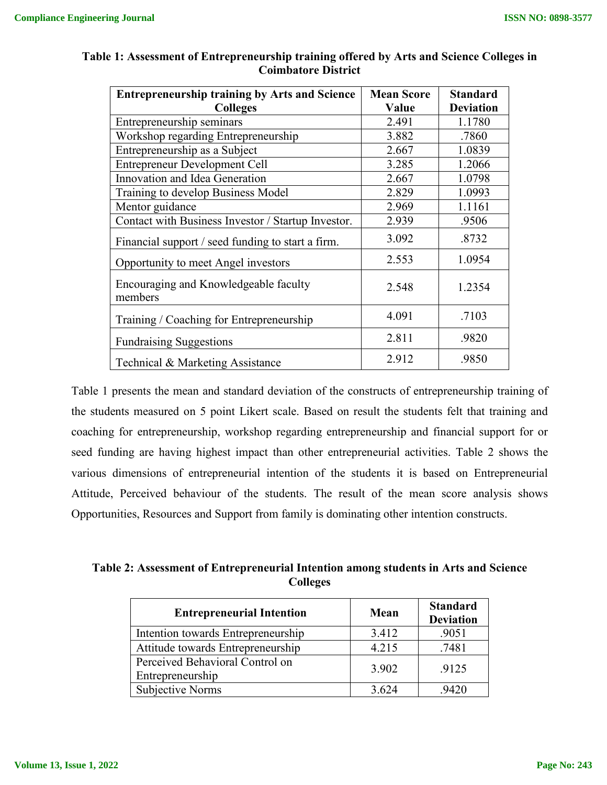| <b>Entrepreneurship training by Arts and Science</b> | <b>Mean Score</b> | <b>Standard</b>  |  |  |
|------------------------------------------------------|-------------------|------------------|--|--|
| <b>Colleges</b>                                      | Value             | <b>Deviation</b> |  |  |
| Entrepreneurship seminars                            | 2.491             | 1.1780           |  |  |
| Workshop regarding Entrepreneurship                  | 3.882             | .7860            |  |  |
| Entrepreneurship as a Subject                        | 2.667             | 1.0839           |  |  |
| Entrepreneur Development Cell                        | 3.285             | 1.2066           |  |  |
| Innovation and Idea Generation                       | 2.667             | 1.0798           |  |  |
| Training to develop Business Model                   | 2.829             | 1.0993           |  |  |
| Mentor guidance                                      | 2.969             | 1.1161           |  |  |
| Contact with Business Investor / Startup Investor.   | 2.939             | .9506            |  |  |
| Financial support / seed funding to start a firm.    | 3.092             | .8732            |  |  |
| Opportunity to meet Angel investors                  | 2.553             | 1.0954           |  |  |
| Encouraging and Knowledgeable faculty<br>members     | 2.548             | 1.2354           |  |  |
| Training / Coaching for Entrepreneurship             | 4.091             | .7103            |  |  |
| <b>Fundraising Suggestions</b>                       | 2.811             | .9820            |  |  |
| Technical & Marketing Assistance                     | 2.912             | .9850            |  |  |

## **Table 1: Assessment of Entrepreneurship training offered by Arts and Science Colleges in Coimbatore District**

Table 1 presents the mean and standard deviation of the constructs of entrepreneurship training of the students measured on 5 point Likert scale. Based on result the students felt that training and coaching for entrepreneurship, workshop regarding entrepreneurship and financial support for or seed funding are having highest impact than other entrepreneurial activities. Table 2 shows the various dimensions of entrepreneurial intention of the students it is based on Entrepreneurial Attitude, Perceived behaviour of the students. The result of the mean score analysis shows Opportunities, Resources and Support from family is dominating other intention constructs.

**Table 2: Assessment of Entrepreneurial Intention among students in Arts and Science Colleges**

| <b>Entrepreneurial Intention</b>                    | Mean  | <b>Standard</b><br><b>Deviation</b> |  |
|-----------------------------------------------------|-------|-------------------------------------|--|
| Intention towards Entrepreneurship                  | 3.412 | .9051                               |  |
| Attitude towards Entrepreneurship                   | 4.215 | .7481                               |  |
| Perceived Behavioral Control on<br>Entrepreneurship | 3.902 | .9125                               |  |
| Subjective Norms                                    | 3.624 | .9420                               |  |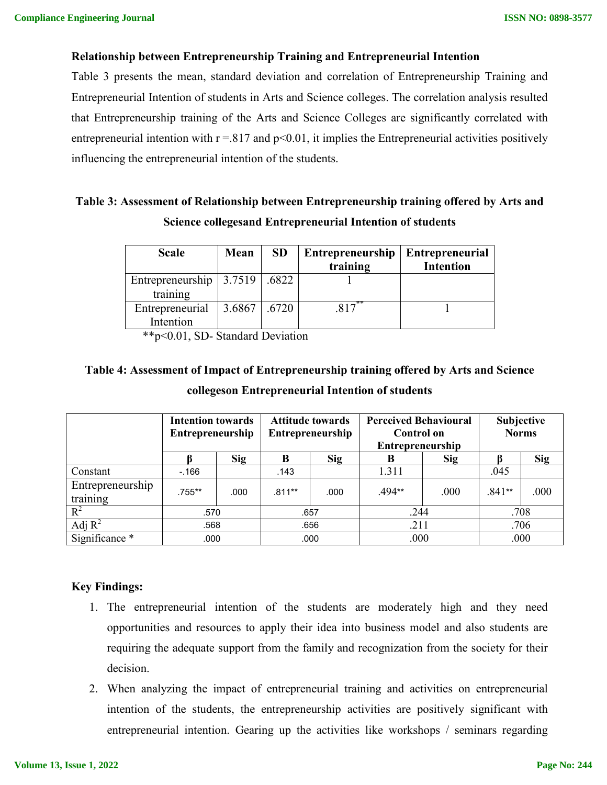#### **Relationship between Entrepreneurship Training and Entrepreneurial Intention**

Table 3 presents the mean, standard deviation and correlation of Entrepreneurship Training and Entrepreneurial Intention of students in Arts and Science colleges. The correlation analysis resulted that Entrepreneurship training of the Arts and Science Colleges are significantly correlated with entrepreneurial intention with  $r = 0.817$  and  $p < 0.01$ , it implies the Entrepreneurial activities positively influencing the entrepreneurial intention of the students.

# **Table 3: Assessment of Relationship between Entrepreneurship training offered by Arts and Science collegesand Entrepreneurial Intention of students**

| <b>Scale</b>              | Mean   | <b>SD</b> | <b>Entrepreneurship</b> | <b>Entrepreneurial</b> |  |
|---------------------------|--------|-----------|-------------------------|------------------------|--|
|                           |        |           | training                | <b>Intention</b>       |  |
| Entrepreneurship   3.7519 |        | .6822     |                         |                        |  |
| training                  |        |           |                         |                        |  |
| Entrepreneurial           | 3.6867 | .6720     | $8\sqrt{7}$             |                        |  |
| Intention                 |        |           |                         |                        |  |

\*\*p<0.01, SD- Standard Deviation

## **Table 4: Assessment of Impact of Entrepreneurship training offered by Arts and Science collegeson Entrepreneurial Intention of students**

|                              | <b>Intention towards</b><br><b>Entrepreneurship</b> |            | <b>Attitude towards</b><br>Entrepreneurship |            | <b>Perceived Behavioural</b><br><b>Control</b> on<br><b>Entrepreneurship</b> |            | Subjective<br><b>Norms</b> |            |
|------------------------------|-----------------------------------------------------|------------|---------------------------------------------|------------|------------------------------------------------------------------------------|------------|----------------------------|------------|
|                              |                                                     | <b>Sig</b> | B                                           | <b>Sig</b> | B                                                                            | <b>Sig</b> |                            | <b>Sig</b> |
| Constant                     | $-166$                                              |            | .143                                        |            | 1.311                                                                        |            | .045                       |            |
| Entrepreneurship<br>training | .755**                                              | .000       | $.811**$                                    | .000       | $.494**$                                                                     | .000       | $.841**$                   | .000       |
| $R^2$                        | .570                                                |            | .657                                        |            | .244                                                                         |            | .708                       |            |
| Adj $R^2$                    | .568                                                |            | .656                                        |            | .211                                                                         |            | .706                       |            |
| Significance *               | .000                                                |            | .000                                        |            | .000                                                                         |            | .000                       |            |

## **Key Findings:**

- 1. The entrepreneurial intention of the students are moderately high and they need opportunities and resources to apply their idea into business model and also students are requiring the adequate support from the family and recognization from the society for their decision.
- 2. When analyzing the impact of entrepreneurial training and activities on entrepreneurial intention of the students, the entrepreneurship activities are positively significant with entrepreneurial intention. Gearing up the activities like workshops / seminars regarding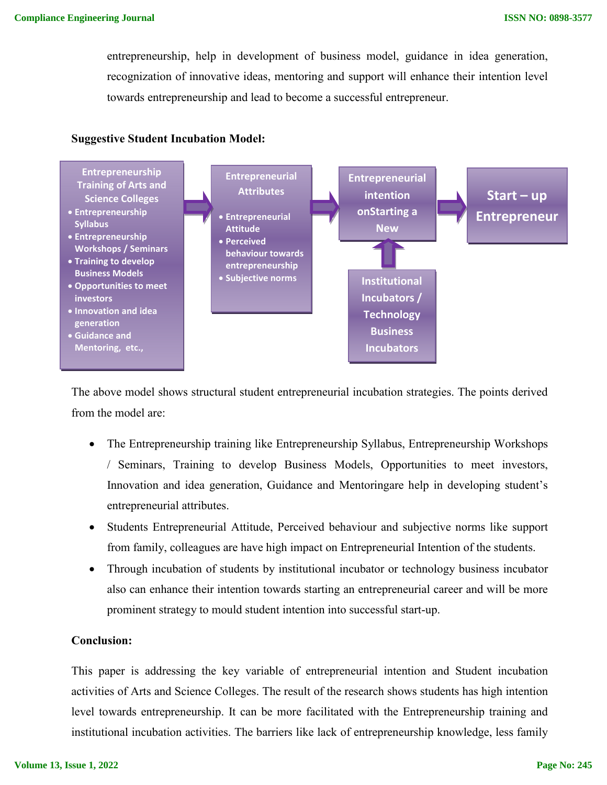entrepreneurship, help in development of business model, guidance in idea generation, recognization of innovative ideas, mentoring and support will enhance their intention level towards entrepreneurship and lead to become a successful entrepreneur.

#### **Suggestive Student Incubation Model:**



The above model shows structural student entrepreneurial incubation strategies. The points derived from the model are:

- The Entrepreneurship training like Entrepreneurship Syllabus, Entrepreneurship Workshops / Seminars, Training to develop Business Models, Opportunities to meet investors, Innovation and idea generation, Guidance and Mentoringare help in developing student's entrepreneurial attributes.
- Students Entrepreneurial Attitude, Perceived behaviour and subjective norms like support from family, colleagues are have high impact on Entrepreneurial Intention of the students.
- Through incubation of students by institutional incubator or technology business incubator also can enhance their intention towards starting an entrepreneurial career and will be more prominent strategy to mould student intention into successful start-up.

#### **Conclusion:**

This paper is addressing the key variable of entrepreneurial intention and Student incubation activities of Arts and Science Colleges. The result of the research shows students has high intention level towards entrepreneurship. It can be more facilitated with the Entrepreneurship training and institutional incubation activities. The barriers like lack of entrepreneurship knowledge, less family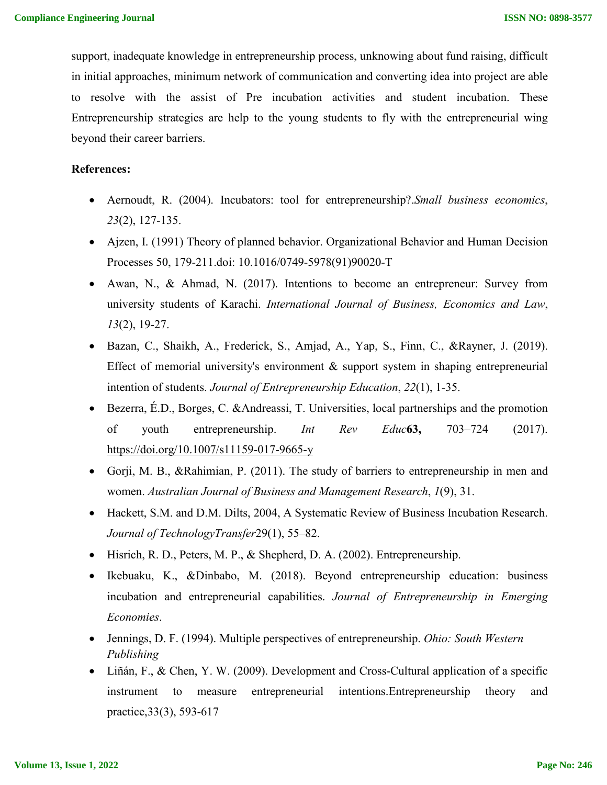support, inadequate knowledge in entrepreneurship process, unknowing about fund raising, difficult in initial approaches, minimum network of communication and converting idea into project are able to resolve with the assist of Pre incubation activities and student incubation. These Entrepreneurship strategies are help to the young students to fly with the entrepreneurial wing beyond their career barriers.

### **References:**

- Aernoudt, R. (2004). Incubators: tool for entrepreneurship?.*Small business economics*, *23*(2), 127-135.
- Ajzen, I. (1991) Theory of planned behavior. Organizational Behavior and Human Decision Processes 50, 179-211.doi: 10.1016/0749-5978(91)90020-T
- Awan, N., & Ahmad, N. (2017). Intentions to become an entrepreneur: Survey from university students of Karachi. *International Journal of Business, Economics and Law*, *13*(2), 19-27.
- Bazan, C., Shaikh, A., Frederick, S., Amjad, A., Yap, S., Finn, C., &Rayner, J. (2019). Effect of memorial university's environment & support system in shaping entrepreneurial intention of students. *Journal of Entrepreneurship Education*, *22*(1), 1-35.
- Bezerra, É.D., Borges, C. &Andreassi, T. Universities, local partnerships and the promotion of youth entrepreneurship. *Int Rev Educ***63,** 703–724 (2017). https://doi.org/10.1007/s11159-017-9665-y
- Gorji, M. B., &Rahimian, P. (2011). The study of barriers to entrepreneurship in men and women. *Australian Journal of Business and Management Research*, *1*(9), 31.
- Hackett, S.M. and D.M. Dilts, 2004, A Systematic Review of Business Incubation Research. *Journal of TechnologyTransfer*29(1), 55–82.
- Hisrich, R. D., Peters, M. P., & Shepherd, D. A. (2002). Entrepreneurship.
- Ikebuaku, K., &Dinbabo, M. (2018). Beyond entrepreneurship education: business incubation and entrepreneurial capabilities. *Journal of Entrepreneurship in Emerging Economies*.
- Jennings, D. F. (1994). Multiple perspectives of entrepreneurship. *Ohio: South Western Publishing*
- Liñán, F., & Chen, Y. W. (2009). Development and Cross-Cultural application of a specific instrument to measure entrepreneurial intentions.Entrepreneurship theory and practice,33(3), 593-617